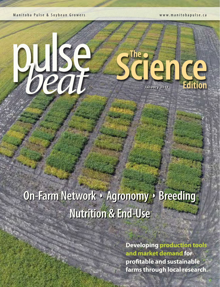Manitoba Pulse & Soybean Growers www.manitobapulse.ca

# 

# The **c Jence**

# **On-Farm Network** ◗ **Agronomy** ◗ **Breeding Nutrition & End-Use**

**Developing production tools and market demand for protable and sustainable farms through local research.**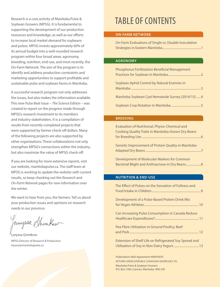Research is a core activity of Manitoba Pulse & Soybean Growers (MPSG). It is fundamental to supporting the development of our production resources and knowledge, as well as our efforts to increase local market demand for soybeans and pulses. MPSG invests approximately 60% of its annual budget into a well-rounded research program within four broad areas: agronomy, breeding, nutrition, end-use, and most recently, the On-Farm Network. The aim of the program is to identify and address production constraints and marketing opportunities to support profitable and sustainable pulse and soybean farms in Manitoba.

A successful research program not only addresses the issues, but also makes the information available. This new *Pulse Beat* issue – *The Science Edition* – was created to report on the progress made through MPSG's research investment to its members and industry stakeholders. It is a compilation of results from recently completed projects that were supported by farmer check-off dollars. Many of the following projects are also supported by other organizations. These collaborations not only strengthen MPSG's connections within the industry, but also maximize the value of MPSG check-off.

If you are looking for more extensive reports, visit our website, manitobapulse.ca. The staff team at MPSG is working to update the website with current results, so keep checking out the *Research* and *On-Farm Network* pages for new information over the winter.

We want to hear from you, the farmers. Tell us about your production issues and opinions on research needs in our province.

Januyssa Shumkow

Laryssa Grenkow MPSG Director of Research & Production laryssa@manitobapulse.ca

### TABLE OF CONTENTS

### **ON-FARM NETWORK**

| On-Farm Evaluations of Single vs. Double Inoculation |  |
|------------------------------------------------------|--|
|                                                      |  |

### **AGRONOMY**

| <b>Phosphorus Fertilization Beneficial Management</b> |  |
|-------------------------------------------------------|--|
| Soybean Aphid Control by Natural Enemies in           |  |
| Manitoba Soybean Cyst Nematode Survey (2014/15)4      |  |
|                                                       |  |

### **BREEDING**

| Evaluation of Nutritional, Physio-Chemical and                                        |  |
|---------------------------------------------------------------------------------------|--|
| Cooking Quality Traits in Manitoba-Grown Dry Beans                                    |  |
|                                                                                       |  |
| Genetic Improvement of Protein Quality in Manitoba-                                   |  |
|                                                                                       |  |
| $\mathbb{R}$ and the contract of Mathematical Mathematical Components of $\mathbb{R}$ |  |

Development of Molecular Markers for Common Bacterial Blight and Anthracnose in Dry Beans ...................8

### **NUTRITION & END-USE**

| The Effect of Pulses on the Sensation of Fullness and  |
|--------------------------------------------------------|
| Development of a Pulse-Based Protein Drink Mix         |
| Can Increasing Pulse Consumption in Canada Reduce      |
| Pea Fibre Utilization in Ground Poultry, Beef          |
| Extension of Shelf Life on Refrigerated Soy Spread and |
| Publications Mail Agreement #40016070                  |

RETURN UNDELIVERABLE CANADIAN ADDRESSES TO: Manitoba Pulse & Soybean Growers P.O. Box 1760, Carman, Manitoba R0G 0J0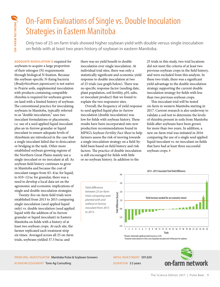## On-Farm Evaluations of Single vs. Double Inoculation Strategies in Eastern Manitoba

Only two of 25 on-farm trials showed higher soybean yield with double versus single inoculation on fields with at least two years history of soybean in eastern Manitoba.

**ADEQUATE NODULATION IS** required for soybeans to acquire a large proportion of their nitrogen (N) requirements through biological N fixation. Because the soybean-specific N-fixing bacteria (*Bradyrhizobium japonicum*) is not native to Prairie soils, supplemental inoculation with products containing compatible rhizobia is required for soybeans grown on land with a limited history of soybean. The conventional practice for inoculating soybeans in Manitoba, typically referred to as "double inoculation," uses two inoculant formulations or placements, i.e. use of a seed applied liquid inoculant plus an in-furrow granular or liquid inoculant to ensure adequate levels of rhizobium are introduced in the case that a single inoculant failed due to desiccation or bridging in the tank. Other more established soybean growing regions of the Northern Great Plains mainly use a single inoculant or no inoculant at all. As soybean field history continues to grow in Manitoba and because the cost of inoculant ranges from \$3–4/ac for liquid, to \$10–12/ac for granular, there was a need to develop a local data set on the agronomic and economic implications of single and double inoculation strategies.

Twenty-five on-farm field trials were established from 2013 to 2015 comparing single inoculation (seed applied liquid only) vs. double inoculation (seed applied liquid with the addition of in-furrow granular or liquid inoculant) in Eastern Manitoba on fields with a history of at least two soybean crops. At each site, the farmer replicated each treatment strip six times. Averaged across all 25 on-farm trials, soybeans yielded 37.5 bu/ac and

there was no yield benefit to double inoculation over single inoculation. At individual trial sites, there was only a statistically significant and economic yield response to double inoculation at two of 25 trials (see graph below). There was no specific response factor (seeding date, plant population, soil fertility, pH, salts, or inoculant product) that we found to explain the two responsive sites.

Overall, the frequency of yield response to seed applied liquid plus in-furrow inoculation (double inoculation) was low for fields with soybean history. These results have been incorporated into new production recommendations found in MPSG's *Soybean Fertility Fact Sheet* to help farmers assess the risk of moving towards a single inoculation strategy on a field-byfield basis based on field history and risk factors. The practice of double inoculation is still encouraged for fields with little or no soybean history. In addition to the

*to 2015.*

25 trials in this study, two trial locations did not meet the criteria of at least two previous soybean crops in the field history, and were excluded from this analysis. In these two trials, there was a significant yield advantage to the double inoculation strategy supporting the current double inoculation strategy for fields with less than two previous soybean crops.

This inoculant trial will be tested on-farm in western Manitoba starting in 2017. Current research is also underway to validate a soil test to determine the levels of rhizobia present in soils from Manitoba fields after soybeans have been grown for more than two years. In addition, a new on-farm trial was initiated in 2016 comparing the use of a single seed applied liquid inoculant vs. no inoculant on fields that have had at least three successful soybean crops. ◗



† Economic return based on \$10/ac cost of granular inoculant and \$10/bu price for soybeans

PRINCIPAL INVESTIGATOR Manitoba Pulse & Soybean Growers ACKNOWLEDGEMENT Tone Ag Consulting

MPSG INVESTMENT \$97,650

DURATION 3.5 years

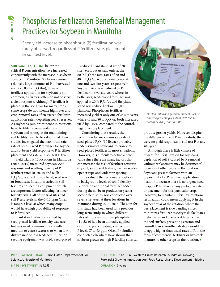# Phosphorus Fertilization Beneficial Management Practices for Soybean in Manitoba

Seed yield increase to phosphorus (P) fertilization was rarely observed, regardless of P fertilizer rate, placement or soil test level.

Example 11103 **PUT (CCS for Solution**<br>
Foreign seed yield increase to phorarely observed, regardles<br>
or soil test level.<br>
solus SAMPLES TESTING below the<br>
critical P concentration have increased cocurrently with the increa **SOIL SAMPLES TESTING** below the critical P concentration have increased concurrently with the increase in soybean acreage in Manitoba. Soybeans remove relatively large amounts of P in harvested seed (~0.83 lbs  $P_2O_5/bu$ ); however, P fertilizer application for soybean is not common, as farmers often do not observe a yield response. Although P fertilizer is placed in the seed row for many crops, some crops do not tolerate high rates and crop removal rates often exceed fertilizer application rates, depleting soil P reserves. As soybeans gain prominence in rotations, basic fertility recommendations for soybean and strategies for maintaining soil fertility need to be established. Two studies investigated the maximum safe rate of seed-placed P fertilizer for soybean and soybean yield response to P fertilizer placement and rate, and soil test P level.

Field trials at 10 locations in Manitoba (2013–2015) measured soybean yield response and seedling toxicity of P fertilizer rates (0, 20, 40 and 80 lb  $P_2O_5/ac$ ) applied in side band, seed row or broadcast. Locations varied in soil texture and seeding equipment, which are important factors affecting fertilizer toxicity risk. Half of the trial sites had soil P test levels in the 0–10 ppm Olsen P range, a level at which many crops would have high probability of response to P fertilizer.

Plant stand reduction caused by seed-placed fertilizer toxicity was rare, but was most common in soils with medium to coarse textures or when lowdisturbance or low seed-bed utilization seeding equipment was used. Seed-placed P reduced plant stand at six of 28 site-years, but usually only at the 80 lb  $P_2O_5$ /ac rate; rates of 20 and 40 lb  $P_2O_5$ /ac reduced emergence at one and two site-years, respectively. Soybean yield was reduced by P fertilizer in two site-years where, in both cases, seed-placed fertilizer was applied at 80 lb  $P_2O_5/ac$  and the plant stand was reduced below 100,000 plants/ac. Phosphorus fertilizer increased yield at only one of 28 site-years, where 40 and 80 lb  $P_2O_5$ /ac both increased yield by ~15%, compared to the control, regardless of placement.

Considering these results, the recommended maximum safe rate of seed-placed  $P_2O_5$  (10 lbs/ac) probably underestimates soybeans' tolerance to seed-placed fertilizer in most situations. However, it is difficult to define a new value since there are many factors that can increase the risk of fertilizer toxicity: dry soil, sandy soil texture, narrow seeder opener type and wide row spacing.

To evaluate the response of soybean to background levels of soil P fertility, i.e. with no additional fertilizer added during the soybean production year, a second field study was conducted over seven site-years at three locations in Manitoba during 2013-2015. The sites for this study had been used for a previous long-term study, in which different rates of monoammonium phosphate (11-52-0) had been annually applied over nine years creating a range of soil P levels (7 to 93 ppm Olsen P). Studies conducted elsewhere have shown that soybean grown on high P fertility soils can



*Dr. Don Flaten and graduate student Gustavo Bardella presenting results at 2015 MPSG*  SMART field day, Carman, MB.

produce greater yields. However, despite the differences in soil P in this study, there were no yield responses to soil test P at any site-year.

Although there is little chance of reward for P fertilization for soybeans, depletion of soil P caused by P removal without replacement may be detrimental to yields of other crops in the rotation. Soybeans present farmers with an opportunity for P fertilizer application flexibility, because there is no urgent need to apply P fertilizer at any particular rate or placement for this particular crop. However, to maintain P fertility, rotational fertilization could mean applying P in the soybean year of the rotation, where the best placement is side banding since it minimizes fertilizer toxicity risk, facilitates higher rates and places fertilizer below the soil surface, preventing erosion and run-off losses. Another strategy would be to apply higher than usual rates of P, in the form of commercial fertilizer or livestock manure, to other crops in the rotation. ▶

PRINCIPAL INVESTIGATOR Don Flaten, Department of Soil Science, University of Manitoba

MPSG INVESTMENT \$64,653

CO-FUNDER \$129,306 – Western Grains Research Foundation, Growing Forward 2 Growing Innovation: Agri-Food Research and Development Initiative

DURATION 3 years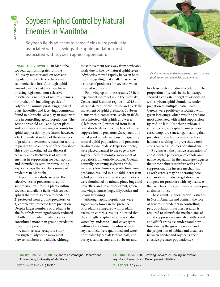# Soybean Aphid Control by Natural Enemies in Manitoba

Soybean fields adjacent to cereal fields were positively associated with lacewings, the aphid predators most associated with soybean aphid suppression.

**UNABLE TO OVERWINTER** in Manitoba, soybean aphids migrate from the U.S. every summer and, on occasion, populations reach levels that cause economic yield loss. Although aphid control can be satisfactorily achieved by using registered, non-selective insecticide, a number of natural enemies (or predators), including species of ladybeetles, minute pirate bugs, damsel bugs, hoverflies and lacewings commonly found in Manitoba, also play an important role in controlling aphid populations. The action threshold (250 aphids per plant and populations increasing) accounts for aphid suppression by predators; however, a lack of understanding of the dynamics of predator movement reduces our ability to predict this component of the threshold. This study investigated the dispersal capacity and effectiveness of natural enemies in suppressing soybean aphids, and identified vegetation surrounding soybean crops that can be a source of predators in Manitoba.

A preliminary study assessed the effectiveness of predators on aphid suppression by infesting plants within soybean and alfalfa fields with soybean aphids that were: 1) open to predation; 2) protected from ground predators; or 3) completely protected from predation. Despite larger numbers of predators in alfalfa, aphids were signicantly reduced in both crops. Foliar predators also contributed more than ground predators to aphid suppression.

A mark-release-recapture study investigated ladybeetle movement between soybean and alfalfa. Although most movement was away from soybeans, likely due to the low natural aphid levels, ladybeetles moved rapidly between both crops suggesting that alfalfa may act as a source of predators for soybean when infested with aphids.

Following up on these results, 27 field experiments were set up in the Interlake, Central and Eastman regions in 2013 and 2014 to determine the source and track the movement of aphid predators. Soybean plants within commercial soybean fields were infested with aphids and were: 1) left open or 2) protected from foliar predators to determine the level of aphid suppression by predators. Sweep nets and visual plant counts were used to quantify natural aphid populations and predators. Bi-directional malaise traps (see photo) were placed parallel to the edge of the soybean field to monitor movement of predators from outside sources. Overall, naturally occurring soybean aphids were very low; however, protection from predation resulted in a 3.6 fold increase in aphid populations. Predator populations were dominated by minute pirate bugs and hoverflies, and, to a lesser extent, green lacewings, damsel bugs, ladybeetles and brown lacewings.

Although aphid populations were significantly lower in the presence of predators compared with predator exclusion controls, results indicated that the strength of aphid suppression also varied by landscape. Land-cover types within a two kilometre radius of each soybean field were quantified and were dominated by cereals (wheat, oats, and barley), canola, corn and soybeans and



*Dr. Costamagna and a malaise trap used to assess predator movement in field experiments.* 

to a lesser extent, natural vegetation. The proportion of cereals in the landscape showed a consistent negative association with soybean aphid abundance under predation at multiple spatial scales. Cereals were positively associated with green lacewings, which was the predator most associated with aphid suppression. By mid- to late-July, when soybean is still susceptible to aphid damage, most cereal crops are senescing, meaning that predators move from cereals to other habitats searching for prey; thus cereal crops can act as sources of natural enemies.

By contrast, the positive association of aphids with a percentage of canola and native vegetation in the landscape suggests that these habitats interfere with aphid suppression. The inverse mechanism as with cereals may be operating here, i.e. canola and native vegetation may compete for predators with soybeans, as they will have prey populations developing at similar times.

These results support previous studies in North America and confirm the role of generalist predators in controlling pest populations. Further research is required to identify the mechanisms of aphid suppression associated with cereal and alfalfa crops, i.e. understand how time during the growing season and the proportion of habitat and distances between habitat and soybeans affect effective predator populations.

PRINCIPAL INVESTIGATOR Alejandro Costamagna, Department of Entomology, University of Manitoba MPSG INVESTMENT \$36,950

CO-FUNDER \$43,050 – Growing Forward 2 Growing Innovation: Agri-Food Research and Development Initiative

DURATION 3.5 years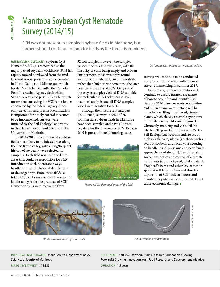# Manitoba Soybean Cyst Nematode Survey (2014/15)

SCN was not present in sampled soybean fields in Manitoba, but farmers should continue to monitor fields as the threat is imminent.

Example Beat 1 The Science Edition<br>
SCN was not present in satements formers should continue if<br>
SCN was not present in satements of the SCN Nematode, SCN) is recognized as the<br>
major pest of soybean worldwide. SCN Nematod *HETERODERA GLYCINES* (Soybean Cyst Nematode, SCN) is recognized as the major pest of soybean worldwide. SCN has rapidly moved northward from the mid-U.S. and is now present in some counties in North Dakota and Minnesota, which border Manitoba. Recently, the Canadian Food Inspection Agency declassified SCN as a regulated pest in Canada, which means that surveying for SCN is no longer conducted by the federal agency. Since early detection and precise identification is important for timely control measures to be implemented, surveys were initiated by the Soil Ecology Laboratory in the Department of Soil Science at the University of Manitoba.

In 2014–2015, 28 commercial soybean fields most likely to be infested (i.e. along the Red River Valley, with a long/frequent history of soybean) were selected for sampling. Each field was sectioned into areas that could be responsible for SCN introduction such as entrance ways, headlands near ditches and depressions or drainage ways. From these fields, a total of 205 soil samples were taken to the lab for analysis for the presence of SCN. Nematode cysts were recovered from

32 soil samples; however, the samples yielded one to a few cysts each, with the majority of cysts being empty and broken. Furthermore, most cysts were round and not lemon-shaped, circumfenestrate rather than bifenestrate cone tops, the later possible indicators of SCN. Only six of these cysts samples yielded DNA suitable for molecular PCR (polymerase chain reaction) analysis and all DNA samples tested were negative for SCN.

Through the most recent and past (2012–2013) surveys, a total of 76 commercial soybean fields in Manitoba have been sampled and have all tested negative for the presence of SCN. Because SCN is present in neighbouring states,



Figure 1. SCN-damaged areas of the field.



*Dr. Tenuta describing root symptoms of SCN.*

surveys will continue to be conducted every two to three years, with the next survey commencing in summer 2017.

In addition, outreach activities will continue to ensure farmers are aware of how to scout for and identify SCN. Because SCN damages roots, nodulation and nutrient and water uptake will be impeded resulting in yellowed, stunted plants, which closely resemble symptoms of iron deficiency chlorosis (Figure 1). Ultimately, maturity and yield will be affected. To proactively manage SCN, the Soil Ecology Lab recommends to scout high risk fields regularly, (i.e. those with  $>3$ years of soybean and focus your scouting on headlands, depressions and near fences, approaches and sloughs). Use of resistant soybean varieties and control of alternate host plants (e.g. chickweed, wild mustard, Shepherd's Purse and other less common species) will help contain and slow the expansion of SCN-infected areas and maintain populations at levels that do not cause economic damage. ◗



*White, lemon-shaped cysts on roots*



*Adult soybean cyst nematode*

PRINCIPAL INVESTIGATOR Mario Tenuta, Department of Soil Science, University of Manitoba

MPSG INVESTMENT \$15,333

CO-FUNDER \$30,667 – Western Grains Research Foundation, Growing Forward 2 Growing Innovation: Agri-Food Research and Development Initiative DURATION 1.5 years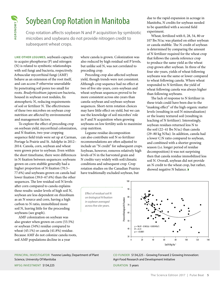# Soybean Crop Rotation in Manitoba

Crop rotation affects soybean N and P acquisition by symbiotic microbes and soybeans do not provide nitrogen credit to subsequent wheat crops.

**LIKE OTHER LEGUMES,** soybean's capacity to acquire phosphorus (P) and nitrogen (N) is related to symbiotic relationships with soil fungi and bacteria, respectively. Arbuscular mycorrhizal fungi (AMF) behave as an extension of the root itself, and can access P otherwise unavailable by penetrating soil pores too small for roots. *Bradyrhizobium japonicum* bacteria, housed in soybean root nodules, fix atmospheric N, reducing requirements of soil or fertilizer N. The effectiveness of these two microbes on soybean crop nutrition are affected by environmental and management factors.

To explore the effect of preceding crop on soybean yield, mycorrhizal colonization, and N fixation, two-year cropping sequence field trials were set up at Carman, Portage la Prairie and St. Adolphe in 2012– 2014. Canola, corn, soybean and wheat were grown prior to soybean. Even within the short time frame, there were differences in N fixation between sequences: soybeans grown on corn stubble generally had a higher proportion of N fixation (70.5– 77.6%) and soybeans grown on canola had lower fixation  $(39.0-67.6%)$  than the other sequences. The low residual soil N levels after corn compared to canola explains these results: under levels of high soil N, soybean are less dependent on rhizobium as an N source and corn, having a high carbon to N ratio, immobilized more soil N, leaving little for the proceeding soybeans (see graph).

AMF colonization on soybean was also greater when grown on corn (53.5%) or soybean (54%) residue compared to wheat (45.1%) or canola (41.8%) residue. Because AMF do not colonize canola roots, soil AMF populations decline in a year

PRINCIPAL INVESTIGATOR Yvonne Lawley, Department of Plant Science, University Of Manitoba

where canola is grown. Colonization was also reduced by high residual soil P levels, but unlike soil N, was not correlated to preceding crop.

Preceding crop also affected soybean yield, though trends were not consistent. Although crop sequence had no effect at two of five site-years, corn-soybean and wheat-soybean sequences proved to be more consistent across site-years than canola-soybean and soybean-soybean sequences. Short-term rotation choices may have little effect on yield, but we can use the knowledge of soil microbes' role in P and N acquisition when growing soybeans on low fertility soils to maximize crop nutrition.

Legume residue decomposition can also contribute soil N so fertilizer recommendations are often adjusted to include an "N credit" for subsequent crops. Soybean, however, removes relatively high levels of N in the harvested grain and N credits vary widely with soil/climatic conditions and subsequent crop. Crop rotation studies on the Canadian Prairies have traditionally excluded soybean, but

due to the rapid expansion in acreage in Manitoba, N credits for soybean needed to be quantified with a second field experiment.

Wheat, fertilized with 0, 28, 54, 80 or 107 lbs N/ac was planted on either soybean or canola stubble. The N credit of soybean is determined by comparing the amount of N fertilizer required for the wheat crop that follows the canola reference crop to produce the same yield as the wheat crop grown after soybean. In three of the four site-years, yields of wheat following soybeans was the same or lower compared to wheat following canola. Where wheat responded to N fertilizer, the yield of wheat following canola was always higher than following soybeans.

The lack of response to N fertilizer in these trials could have been due to the "masking effect" of the high organic matter levels (resulting in soil N mineralization) or the loamy textured soil (resulting in leaching of N fertilizer). Interestingly, soybean residues returned less N to the soil (22–41 lbs N/ac) than canola (29–80 kg N/ha). In addition, canola had a lower C:N ratio compared to soybean, and combined with a shorter growing season (i.e. longer period of residue decomposition) it was not surprising then that canola residue immobilized less soil N. Overall, soybean did not provide an N credit to the wheat crop, but rather, showed negative N balance. ◗

*Effect of residual soil N on biological N xation in soybean averaged across five site-years.* 



CO-FUNDER \$134,225 – Growing Forward 2 Growing Innovation: Agri-Food Research and Development Initiative

DURATION 5 years

MPSG INVESTMENT \$134,225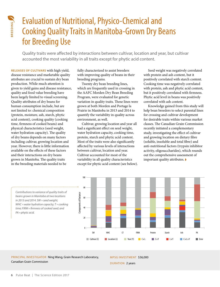

### Evaluation of Nutritional, Physico-Chemical and Cooking Quality Traits in Manitoba-Grown Dry Beans for Breeding Use

Quality traits were affected by interactions between cultivar, location and year, but cultivar accounted the most variability in all traits except for phytic acid content.

**COOKING COOKING COOKING COOKING COOKING COOKING COOKING COOKING COOKING COOKING COOKING COOKING CONDIBITIV THE SCIENCE ACCOOUT TO THE SCIENCE AND THE SCIENCE AND THE SCIENCE AND THE SCIENCE AND INTEGRAL ANTIFIDUAL SCIENCE RELEASES OF CULTIVARS** with high yield, disease resistance and marketable quality attributes are crucial to sustain dry bean production. While much attention is given to yield gains and disease resistance, quality and food value breeding have been largely limited to visual screening. Quality attributes of dry beans for human consumption include, but are not limited to: chemical composition (protein, moisture, ash, starch, phytic acid content), cooking quality (cooking time, firmness of cooked beans) and physical characteristics (seed weight, water hydration capacity). The quality of dry beans depends on many factors including cultivar, growing location and year. However, there is little information available on the effects of these factors and their interactions on dry beans grown in Manitoba. The quality traits in the breeding materials needed to be

fully characterized to assist breeders with improving quality of beans in their breeding programs.

Twenty dry bean breeding lines, which are frequently used in crossing in the AAFC Morden Dry Bean Breeding Program, were evaluated for genetic variation in quality traits. These lines were grown at both Morden and Portage la Prairie in Manitoba in 2013 and 2014 to quantify the variability in quality across environment, as well.

Cultivar, growing location and year all had a significant effect on seed weight, water hydration capacity, cooking time, protein, starch and phytic acid content. Most of the traits were also significantly affected by various levels of interactions between cultivar, location and year. Cultivar accounted for most of the variability in all quality characteristics except for phytic acid content (see below).

Seed weight was negatively correlated with protein and ash content, but it positively correlated with starch content. Cooking time was negatively correlated with protein, ash and phytic acid content, but it positively correlated with firmness. Phytic acid level in beans was positively correlated with ash content.

Knowledge gained from this study will help bean breeders to select parental lines for crossing and cultivar development for desirable traits within various market classes. The Canadian Grain Commission recently initiated a complementary study, investigating the effect of cultivar and growing location on dietary fibre (soluble, insoluble and total fibre) and anti-nutritional factors (trypsin inhibitor activity, oligosaccharides), which rounds out the comprehensive assessment of important quality attributes. ◗



*Contributions to variance of quality traits of beans grown in Manitoba at two locations in 2013 and 2014. SW = seed weight; WHC = water hydration capacity; T = cooking*  time; FIRM = firmness of cooked seed; and *PA = phytic acid.*

PRINCIPAL INVESTIGATOR Ning Wang, Grain Research Laboratory, Canadian Grain Commission

MPSG INVESTMENT \$36,000 DURATION 2 years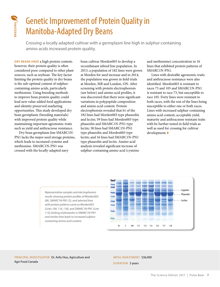

# Genetic Improvement of Protein Quality in Manitoba-Adapted Dry Beans

Crossing a locally adapted cultivar with a germplasm line high in sulphur-containing amino acids increased protein quality.

**DRY BEANS HAVE** a high protein content; however, their protein quality is often considered poor compared to other plant sources, such as soybean. The key factor limiting the protein quality in dry beans is the sub-optimal content of sulphurcontaining amino acids, particularly methionine. Using breeding methods to improve bean protein quality could lead new value-added food applications and identity preserved marketing opportunities. This study developed dry bean germplasm (breeding materials) with improved protein quality while maintaining important agronomic traits such as yield and anthracnose resistance.

Dry bean germplasm line SMARC1N-PN1 lacks the major seed storage proteins, which leads to increased cysteine and methionine. SMARC1N-PN1 was crossed with the locally-adapted navy

bean cultivar Morden003 to develop a recombinant inbred line population. In 2013, a population of 182 lines were grown at Morden for seed increase and in 2014, the population was grown in field trials at Morden, MB and London, ON. After screening with protein electrophoresis (see below) and amino acid profiles, it was discovered that there were significant variations in polypeptide composition and amino acid content. Protein electrophoresis revealed that 61 of the 182 lines had Morden003 type phaseolin and lectin; 59 lines had Morden003 type phaseolin and SMARC1N-PN1 type lectin; 38 lines had SMARC1N-PN1 type phaseolin and Morden003 type lectin; and 16 lines had SMARC1N-PN1 type phaseolin and lectin. Amino acid analysis revealed significant increase of sulphur-containing amino acid (cysteine

and methionine) concentration in 16 lines that exhibited protein patterns of SMARC1N-PN1.

Lines with desirable agronomic traits and anthracnose resistance were also identified. Morden003 is resistant to races 73 and 105 and SMARC1N-PN1 is resistant to race 73, but susceptible to race 105. Forty lines were resistant to both races, with the rest of the lines being susceptible to either one or both races. Lines with increased sulphur-containing amino acid content, acceptable yield, maturity and anthracnose resistant traits with be further tested in field trials as well as used for crossing for cultivar development. ◗



*Representative samples and electro phoresis results showing protein profiles of Morden003 (M), SMARC1N-PN1 (S), and selected lines with protein patterns same as Morden003 (Lines 109, 116, 118), and SMARC1N-PN1 (Line 113); lacking of phaseolin in SMARC1N-PN1 and similar lines leads to increased sulphurcontaining amino acid content.*

PRINCIPAL INVESTIGATOR Dr. Anfu Hou, Agriculture and Agri-Food Canada

MPSG INVESTMENT \$36,000 DURATION 3 years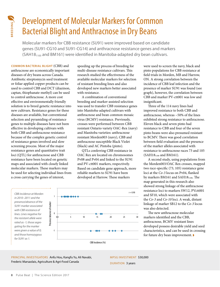

# Development of Molecular Markers for Common Bacterial Blight and Anthracnose in Dry Beans

Molecular markers for CBB resistance (SU91) were improved based on candidate genes (SU91-CG10 and SU91-CG14) and anthracnose resistance genes and markers  $(SAH18<sub>1100</sub>$  and BM161) were identified in Manitoba-adapted dry bean cultivars.

**Example 12**<br> **BACTET AND SURFACT SCIENCIAL SUGATION**<br> **BACTERIAL BUGHT**<br>
Molecular markers for CBI<br>
genes (SU91-CG10 and SM161) we<br>
common BACTERIAL BUGHT (CBB) and<br>
anthracnose are economically important<br>
Antibiotic stre **COMMON BACTERIAL BLIGHT** (CBB) and anthracnose are economically important diseases of dry beans across Canada. Antibiotic streptomycin seed treatment or foliar applied copper products can be used to control CBB and DCT (diazinon, captan, thiophanate-methyl) can be used to control anthracnose. A more cost effective and environmentally friendly solution is to breed genetic resistance into new cultivars. Resistance genes for these diseases are available, but conventional selection and pyramiding of resistance genes to multiple diseases have not been effective in developing cultivars with both CBB and anthracnose resistance because of the complex genetic control of resistance genes involved and slow screening process. Most of the major resistance genes and quantitative trait loci (QTL) for anthracnose and CBB resistance have been located on genetic maps and associated with closely linked molecular markers. These markers may be used for selecting individual lines from a cross carrying the genes of interest,

*CBB incidence at Morden in 2010 –2011 and the presence/ absence of the SU91 marker associated with CBB resistance of lines. Lines negative for the resistant allele were rated as -1; those segregating for the marker were given a value of 0; and those homozygous for SU91 as 1.*

speeding up the process of breeding for multi-disease resistance cultivars. This research studied the effectiveness of the available molecular markers for selection of resistant breeding lines and also developed new markers better associated with resistance.

A combination of conventional breeding and marker-assisted selection was used to transfer CBB resistance genes into Manitoba-adapted cultivars with anthracnose and bean common mosaic virus (BCMV) resistance. Previously, crosses were performed between CBB resistant Ontario variety OAC-Rex (navy) and Manitoba varieties: anthracnose resistant Morden003 (navy), CBB and anthracnose susceptible Black Violet (black) and AC Pintoba (pinto).

QTLs conferring CBB resistance in OAC Rex are located on chromosomes Pv08 and Pv04 and linked to the SU91 and PV-ctt001 markers, respectively. Based on candidate gene approach, more reliable markers to SU91 have been developed at Harrow. These markers



were used to screen the navy, black and pinto populations for CBB resistance at field trials in Morden, MB and Harrow, ON. A strong correlation between the incidence of CBB leaf infection and the presence of marker SU91 was found (see graph), however, the correlation between CBB and marker PV-ctt001 was low and insignificant.

Three of the 114 navy lines had improved resistance to both CBB and anthracnose, whereas ~50% of the lines exhibited strong resistance to anthracnose. Eleven black and seven pinto had resistance to CBB and four of the seven pinto beans were also presumed resistant to BCMV. There was good correlation between field evaluation and the presence of the marker alleles associated with resistance to anthracnose races 73 and 105  $(SAH18<sub>1100</sub>$  and BM161).

A second study, using populations from the Morden003/OAC Rex crosses, mapped two race-specific  $(73, 105)$  resistance gene loci at the *Co-3* locus on Pv04, flanked by markers BM161 and  $SAH18<sub>1100</sub>$ . The map generated in this research also showed strong linkage of the anthracnose resistance loci to markers SW12, PVctt001 and SF10, which were associated with the *Co-3* and *Co-10* loci. A weak, distant linkage of marker SB12 to the *Co-3* locus was also detected.

The new anthracnose molecular markers identified and the CBB, anthracnose, BCMV resistant lines developed possess desirable yield and seed characteristics, and can be used in crossing for future dry bean improvement. ◗

PRINCIPAL INVESTIGATORS Anfu Hou, Kangfu Yu, Ali Navabi, Frederic Marsaolais, Agriculture & Agri-Food Canada

MPSG INVESTMENT \$30,000 DURATION 3 years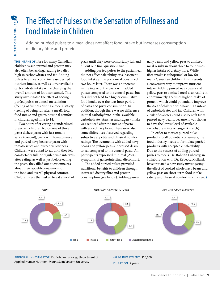### The Effect of Pulses on the Sensation of Fullness and Food Intake in Children

Adding puréed pulses to a meal does not affect food intake but increases consumption of dietary fibre and protein.

**THE INTAKE OF fibre for many Canadian** children is suboptimal and protein may also often be lacking, leading to a diet high in carbohydrates and fat. Adding pulses to a meal could increase desired nutrient intake, as well as lower available carbohydrate intake while changing the overall amount of food consumed. This study investigated the effect of adding puréed pulses to a meal on satiation (feeling of fullness during a meal), satiety (feeling of being full after a meal), total food intake and gastrointestinal comfort in children aged nine to 14.

Two hours after eating a standardized breakfast, children fed on one of three pasta dishes: pasta with just tomato sauce (control), pasta with tomato sauce and puréed navy beans or pasta with tomato sauce and puréed yellow peas. Children were asked to eat until they felt comfortably full. At regular time intervals after eating, as well as just before eating the pasta, they filled out questionnaires about their appetite, enjoyment of the food and overall physical comfort. Children were then asked to eat a meal of

pizza until they were comfortably full and fill out one final questionnaire.

Adding puréed pulses to the pasta meal did not affect palatability or subsequent food intake at the pizza meal consumed two hours later. There was an increase in the intake of the pasta with added pulses compared to the control pasta, but this did not lead to a higher cumulative food intake over the two-hour period of pasta and pizza consumption. In addition, though there was no difference in total carbohydrate intake, available carbohydrate (starches and sugars) intake was reduced after the intake of pasta with added navy bean. There were also some differences observed regarding subjective appetite and physical comfort ratings. The treatments with added navy beans and yellow peas suppressed desire to eat compared to the control pasta. All participants expressed minimal (<5%) symptoms of gastrointestinal discomfort.

The added puréed pulses provided nutritional benefits to children through increased dietary fibre and protein consumption (see below). Adding puréed navy beans and yellow peas to a mixed meal results in about three to four times higher intake of dietary fibre. While fibre intake is suboptimal or low for many Canadian children, this presents a convenient way to improve nutrient intake. Adding puréed navy beans and yellow peas to a mixed meal also results in approximately 1.5 times higher intake of protein, which could potentially improve the diet of children who have high intake of carbohydrates and fat. Children with a risk of diabetes could also benefit from puréed navy beans, because it was shown to have the lowest level of available carbohydrate intake (sugar + starch).

In order to market puréed pulse products to all potential consumers, the food industry needs to formulate puréed products with acceptable palatability. Due to the success of adding puréed pulses to meals, Dr. Bohdan Luhovyy, in collaboration with Dr. Rebecca Mollard, have initiated a new study investigating the effect of cooked whole navy beans and yellow peas on short-term food intake, satiety and physical comfort in children.



PRINCIPAL INVESTIGATOR Dr. Bohdan Luhovyy, Department of Applied Human Nutrition, Mount Saint Vincent University

MPSG INVESTMENT \$10,000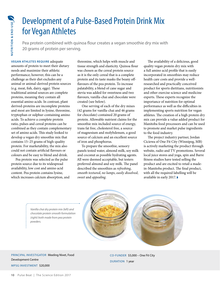### Development of a Pulse-Based Protein Drink Mix for Vegan Athletes

Pea protein combined with quinoa flour creates a vegan smoothie dry mix with 20 grams of protein per serving.

**EXERCTS AND FOR A SCIENCIPS AND FORMAT SCIENCIPS TO PUSE THE SEQUIRE SEQUIRE SEQUIRE SUGRAM ATHLETES REQUIRE adequate amounts of protein to meet their dietary preformance, however, this can be a challenge as their diet ex VEGAN ATHLETES REQUIRE** adequate amounts of protein to meet their dietary needs and maximize their athletic performance; however, this can be a challenge as their diet excludes any animal or animal-derived protein sources (e.g. meat, fish, dairy, eggs). These traditional animal sources are complete proteins, meaning they contain all essential amino acids. In contrast, plant derived-proteins are incomplete proteins and most are limited in lysine, threonine, tryptophan or sulphur-containing amino acids. To achieve a complete protein ratio, pulses and cereal proteins can be combined as they contain complementary set of amino acids. This study looked to develop a vegan dry smoothie mix that contains 15–25 grams of high-quality protein. For marketability, the mix also could not contain artificial flavours or colours and be easy to blend and drink.

Pea protein was selected as the pulse protein source due to its widespread availability, low cost and amino acid content. Pea protein contains lysine, which increases calcium absorption, and threonine, which helps with muscle and tissue strength and elasticity. Quinoa flour was chosen as the cereal protein source as it is the only cereal that is a complete protein and its taste masks the beany offflavours of the pea protein. To increase palatability, a blend of cane sugar and stevia was added for sweetness and two flavours, vanilla-chai and chocolate were created (see below).

One serving of each of the dry mixes (42 grams for vanilla-chai and 46 grams for chocolate) contained 20 grams of protein. Allowable nutrient claims for the smoothie mix included source of energy, trans fat free, cholesterol free, a source of magnesium and molybdenum, a good source of calcium and an excellent source of iron and phosphorus.

To prepare the smoothie, sensory panels tested water, almond milk, soy milk and coconut as possible hydrating agents. All were deemed acceptable, but testers preferred almond and soy milk. The panel described the smoothies as *refreshing*, *smooth textured*, *no lumps*, *easily dissolved*, *sweet* and *appealing*.

The availability of a delicious, good quality vegan protein dry mix with a full amino acid profile that is easily incorporated in smoothies may reduce health care costs and provide a wellresearched and practically conceived product for sports dietitians, nutritionists and other exercise science and medicine experts. These experts recognize the importance of nutrition for optimal performance as well as the difficulties in implementing sports nutrition for vegan athletes. The creation of a high protein dry mix can provide a value added product for Manitoba food processors and can be used to promote and market pulse ingredients to the food industry.

The project industry partner, Jordan Ciciewa of One Fit City (Winnipeg, MB) is actively marketing the product through website, radio and TV promotions. Several local juice stores and yoga, spin and Barre fitness studios have tested selling the product and are excited to retail a madein-Manitoba product. The final product, with all the required labelling will be available in early 2017. ◗

*Vanilla chai dry protein mix (left) and chocolate protein smooth formulation (right) both made from pea protein powders.*



### PRINCIPAL INVESTIGATOR Meeling Nivet, Food Development Centre

MPSG INVESTMENT \$20,000

CO-FUNDER \$5,000 – One Fit City DURATION 1 year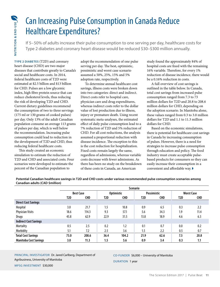### Can Increasing Pulse Consumption in Canada Reduce Healthcare Expenditures?

If 5– 50% of adults increase their pulse consumption to one serving per day, healthcare costs for Type 2 diabetes and coronary heart disease would be reduced \$30–\$300 million annually.

**TYPE 2 DIABETES** (T2D) and coronary heart disease (CHD) are two major diseases that contribute greatly to Canada's social and healthcare costs. In 2014, federal healthcare costs of T2D were estimated at \$2.5 billion and \$13 billion for CHD. Pulses are a low glycemic index, high fibre protein source that can reduce cholesterol levels, thus reducing the risk of developing T2D and CHD. Current dietary guidelines recommend the consumption of two to three servings (175 ml or 130 grams of cooked pulses) per day. Only 13% of the adult Canadian population consume an average 113 grams of pulses per day, which is well below the recommendation. Increasing pulse consumption could lead to reduction in the development of T2D and CHD, thus reducing federal healthcare costs.

This study created an economic simulation to estimate the reduction of T2D and CHD and associated costs. Four scenarios were developed to estimate the percent of the Canadian population to

adopt the recommendation of one pulse serving per day. The best, optimistic, pessimistic and worst case scenario assumed a 50%, 25%, 15% and 5% adoption rate, respectively.

To determine annual healthcare cost savings, illness costs were broken down into two categories: direct and indirect. Direct costs refer to hospital care, physician care and drug expenditures, whereas indirect costs refer to the dollar value of lost production due to illness, injury or premature death. Using recent systematic meta-analyses, the estimated effect of daily pulse consumption lead to a 7% reduction of T2D and 5% reduction of CHD. For all cost reductions, the analysis assumed a proportional reduction with disease incidence. The exception to this is the cost reduction for hospitalization. Fixed costs remain largely the same, regardless of admissions, whereas variable costs decrease with fewer admissions. As there has been no study on the breakdown of these costs in Canada, an American

study found the approximately 84% of hospital costs are fixed with the remaining 16% variable. Therefore, for every 1% reduction of disease incidence, there would be a 0.16% reduction in costs.

A full overview of cost savings is outlined in the table below. In Canada, total cost savings from increased pulse consumption ranged from 7.3 to 73 million dollars for T2D and 20.8 to 208.6 million dollars for CHD, depending on the adoption scenario. In Manitoba alone, these values ranged from 0.3 to 3.0 million dollars for T2D and 1.1 to 11.3 million dollars for CHD.

Based on the economic simulations, there is potential for healthcare cost savings in Canada by increasing consumption of pulses. However, there is a need for strategies to increase pulse consumption through education and policy. The food industry must create acceptable pulsebased products for consumers so they can easily increase their consumption in a convenient and affordable way.

**Potential Canadian healthcare savings in T2D and CHD costs under various recommended pulse consumption scenarios among Canadian adults (CAD \$million)**

|                              | <b>Scenario</b>  |            |                   |            |                    |            |                   |            |  |
|------------------------------|------------------|------------|-------------------|------------|--------------------|------------|-------------------|------------|--|
|                              | <b>Best Case</b> |            | <b>Optimistic</b> |            | <b>Pessimistic</b> |            | <b>Worst Case</b> |            |  |
|                              | T2D              | <b>CHD</b> | T2D               | <b>CHD</b> | T2D                | <b>CHD</b> | T2D               | <b>CHD</b> |  |
| <b>Direct Cost Savings</b>   |                  |            |                   |            |                    |            |                   |            |  |
| Hospital                     | 3.0              | 21.7       | 1.5               | 10.8       | 0.9                | 6.5        | 0.3               | 2.2        |  |
| <b>Physician Visits</b>      | 18.6             | 114.3      | 9.3               | 57.1       | 5.6                | 34.3       | 1.9               | 11.4       |  |
| Drugs                        | 45.8             | 62.9       | 22.9              | 31.5       | 13.8               | 18.9       | 4.6               | 6.3        |  |
| <b>Indirect Cost Savings</b> |                  |            |                   |            |                    |            |                   |            |  |
| Mortality                    | 0.5              | 2.5        | 0.2               | 1.2        | 0.1                | 0.7        | 0.0               | 0.2        |  |
| Morbidity                    | 5.1              | 7.2        | 2.5               | 3.6        | 1.5                | 2.2        | 0.5               | 0.7        |  |
| <b>Total Cost Savings</b>    | 73.0             | 208.6      | 36.4              | 104.2      | 21.9               | 62.6       | 7.3               | 20.8       |  |
| <b>Manitoba Cost Savings</b> | 3.0              | 11.3       | 1.5               | 5.6        | 0.9                | 3.4        | 0.3               | 1.1        |  |

PRINCIPAL INVESTIGATOR Dr. Jared Carlberg, Department of Agribusiness, University of Manitoba

### CO-FUNDER \$6,000 – University of Manitoba

DURATION 1 year

MPSG INVESTMENT \$30,000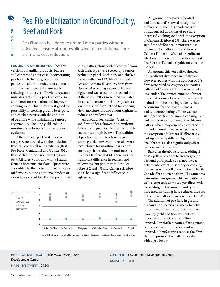### Pea Fibre Utilization in Ground Poultry, Beef and Pork

Pea fibre can be added to ground meat patties without affecting sensory attributes allowing for a nutritional fibre claim and cost reduction.

**EXERCT AND THE SCIENCING SECT AND SECT AND SECT AND SECT AND SECT AND AND SECT AND AND SECT AND AND SECTION SURFACT AND SECTION THE SCIENCE Claim and cost reduction.**<br>
Section 6 finalizer product ost. Incorpensity even fi **CONSUMERS ARE REQUESTING** healthy versions of familiar products, but are still concerned about cost. Incorporating pea fibre into frozen ground meat patties can allow manufacturers to make a fibre nutrient content claim while reducing product cost. Previous research indicates that adding pea fibre can also aid in moisture retention and improve cooking yield. This study investigated the possibility of creating ground beef, pork and chicken patties with the addition of pea fibre while maintaining sensory acceptability. Cooking yield, colour, moisture retention and cost were also evaluated.

Different beef, pork and chicken recipes were created with the inclusion of three yellow pea fibre ingredients (Best Pea Fibre, Centara III and Uptake 80) at three different inclusion rates  $(2, 4, 4)$ 6%). All rates would allow for a Health Canada fibre nutrient claim. Spices were also added to the patties to mask any pea off flavours, but no additional binders or extenders were added. For the preliminary study, patties, along with a "control" from each meat type, were scored by a sensory evaluation panel. Beef, pork and chicken patties with 2 and 4% fibre from Best Pea and Centara III and 2% fibre from Uptake 80 receiving a score of three or higher and was used for the second part of the study. Patties were then evaluated for specific sensory attributes (juiciness, tenderness, off-flavour) and for cooking yield, moisture loss and colour (lightness, redness and yellowness).

All ground beef patties ("control" and fibre added) showed no significant difference in juiciness, tenderness or offflavour (see graph below). The addition of pea fibre at both levels increased cooking yield, however the results were inconclusive for moisture loss as only one recipe had reduction moisture loss (Centara III fibre at  $4\%$ ). There was no significant difference in redness and yellowness, but patties with Best Pea Fibre at 2 and 4% and Centara III fibre at 4% had a significant difference in lightness.



All ground pork patties (control and fibre added) showed no significant difference in juiciness, tenderness or off flavour. All additions of pea fibre increased cooking yield with the exception of Centara III fibre at 2%. There was no significant difference in moisture loss for any of the patties. The addition of Centara III fibre at 2% had a significant effect on lightness and the station of Best Pea Fibre at 4% had a significant effect on redness.

All ground chicken patties showed no significant difference in off-flavour. However, patties with the addition of 4% fibre were rated as less juicy and patties with 4% of Centara III fibre were rated as less tender. The limited amount of water in the patties may have led to insufficient hydration of the fibre ingredients, thus accounting for the lower juiciness and tenderness ratings. There was no significant difference among cooking yield and moisture loss for any of the chicken patties, which may also be an effect of the limited amount of water. All patties with the exception of Centara III fibre at 2% had significantly different lightness. Best Pea Fibre at 4% also significantly affect redness and yellowness.

Based on the above results, adding 2 or 4% yellow pea fibre to frozen ground beef and pork patties does not have a detrimental effect on sensory or cooking properties while still allowing for a Health Canada fibre nutrient claim. The same was determined for ground chicken patties as well, except only at the 2% pea fibre level. Depending on the amount and type of fibre used, including fibre reduced the cost of the meat patties anywhere from 1–15%.

The addition of pea fibre in ground beef and pork patties has many benefits for both manufacturers and consumers. Cooking yield and fibre content are increased and cost of production is lowered. For chicken patties, fibre content is increased and production cost is lowered. Manufacturers can use the fibre claim to promote the patty as a valueadded product. ◗

### PRINCIPAL INVESTIGATOR Luis Maya Desdier, Food Development Centre

MPSG INVESTMENT \$24,500

CO-FUNDER \$5,000 – Food Development Centre DURATION 1 year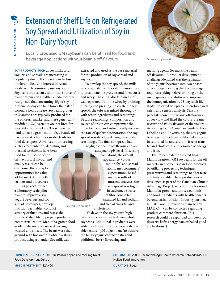### Extension of Shelf Life on Refrigerated Soy Spread and Utilization of Soy in Non-Dairy Yogurt

Locally produced GM soybeans can be utilized for food and beverage applications without beanie off-flavours.

**SOY PRODUCTS SUCH** as soy milk, tofu, yogurts and spreads are increasing in popularity due to the increase in lactose intolerant diets and interest in Asian foods, which commonly use soybeans. Soybeans are also an economical source of plant protein and Health Canada recently recognized that consuming 25g of soy protein per day can help lower the risk of coronary heart disease. Soybeans grown in Manitoba are typically produced for the oil crush market and these genetically modified (GM) varieties are not bred for speciality food markets. These varieties tend to have a gritty mouth feel, beanie offavours and other undesirable traits for food developers. Advances in processing such as fermentation, dehulling and thermal treatments have been used to limit some of the off-flavours. If flavour and

quality issues can be overcome, there may be opportunities for valueadded markets for both farmers and processors.

This project utilized a laboratory scale pilot plant to improve a soy yogurt beverage and soy spread prototypes, develop nutrition fact tables, conduct sensory evaluations and assess the

MPSG INVESTMENT \$21,400

products' shelf life to prepare products for commercialization. Manitoba-grown food grade soybeans were soaked overnight, washed and rinsed. The beans were then ground with hot water to obtain a slurry product using a blender. Soy milk was

extracted and used as the base material for the production of soy spread and soy yogurt.

To develop the soy spread, the milk was coagulated with a salt or lemon juice to precipitate the proteins and form curds and whey. The curd, also known as tofu, was separated from the whey by draining, filtering and pressing. To create the soy spread, the tofu was mixed thoroughly with other ingredients and seasonings. Because seasonings' composition and source of origin can compromise the microbial load and subsequently increase the rate of quality deterioration, the soy spread was developed using pre-treated seasonings. The final soy spread had negligible beanie off-flavour and an

acceptable pH level. In sensory evaluations, the overall appearance, colour, mouth feel and spreadability met consumers' expectations. Based on the results of nutrient analyses, the soy spread was high in calcium, a source of fibre, low in fat, saturated fat and sodium, and free of trans fat and

*Soy yogurt beverage* cholesterol.

> To develop the soy yogurt, high fat soy milk was extracted from whole soybeans. Additional ingredients were added for hydration (to achieve a drinkable texture), pH adjustment (to achieve the tangy yogurt characteristic) and additional berry flavouring and



*Seasoned soy spread*

masking agents (to mask the beany off-flavours). A product development challenge identified was the separation of the yogurt beverage into two phases after storage meaning that the beverage requires shaking before drinking or the use of gums and stabilizers to improve the homogenization. A 93-day shelf life study indicated acceptable microbiological safety and sensory analysis. Sensory panelists scored the beanie off-flavours as very low and liked the colour, creamy texture and fruity flavours of the yogurt. According to the Canadian Guide to Food Labelling and Advertising, the soy yogurt beverage product can be labelled as low in saturated fat and sodium, free of trans fat and cholesterol and a source of energy and iron.

This research demonstrated how Manitoba-grown GM soybeans for the oil market can also be used in food products by utilizing processing techniques, preservatives and seasonings to alter taste and functionality. These products were developed as part of the Canadian Climate Advantage Project, which promotes novel Manitoba-grown and processed foods and food ingredients with health benefits beyond basic nutrition. Industry partner, NuEats Food Innovation (managed by MAHRN), can be contacted regarding product commercialization. This research could be expanded to frozen soy desserts, kefir, energy bars or baked good applications. ◗

PRINCIPAL INVESTIGATORS Dr. Paulyn Appah and Meeling Nivet, Food Development Centre

CO-FUNDER \$5,000 – Manitoba Agri-Health Research Network (MAHRN), NuEats Food Innovation

DURATION 1 year